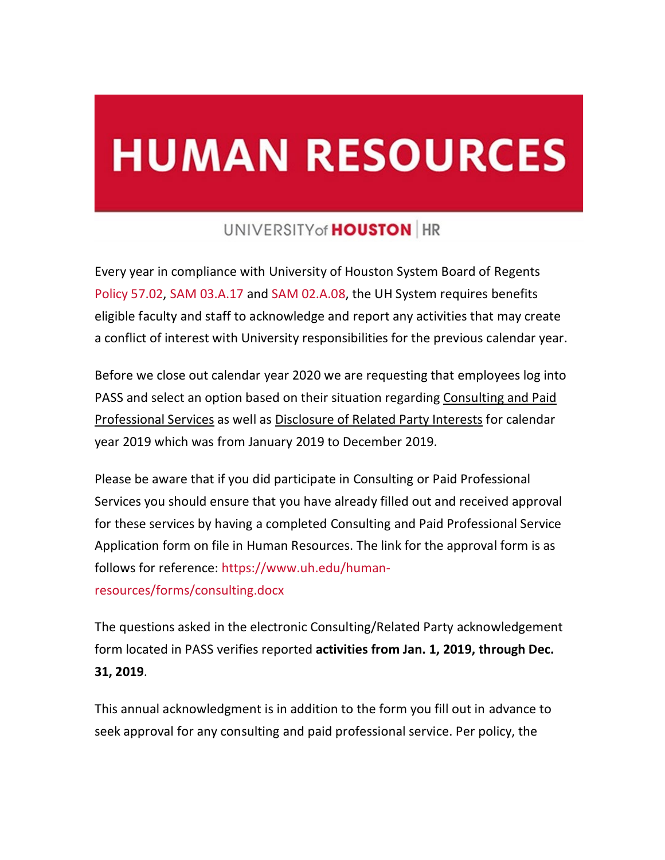## **HUMAN RESOURCES**

## UNIVERSITY of **HOUSTON** HR

Every year in compliance with University of Houston System Board of Regents [Policy](https://cloudapps.uh.edu/sendit/l/892zzVOyRk742VyX8q19U9RQ/fOCNMkNy4mI7NGe17i5o6g/gO6MZmi80C2s6qGLJFypFg) [57.02,](https://cloudapps.uh.edu/sendit/l/892zzVOyRk742VyX8q19U9RQ/fOCNMkNy4mI7NGe17i5o6g/gO6MZmi80C2s6qGLJFypFg) [SAM 03.A.17 a](https://cloudapps.uh.edu/sendit/l/892zzVOyRk742VyX8q19U9RQ/B4QTzw5hqOGix1eK7S1C6w/gO6MZmi80C2s6qGLJFypFg)nd [SAM 02.A.08,](https://cloudapps.uh.edu/sendit/l/892zzVOyRk742VyX8q19U9RQ/w763FEFfJ5w5YEacheZvF8CA/gO6MZmi80C2s6qGLJFypFg) the UH System requires benefits eligible faculty and staff to acknowledge and report any activities that may create a conflict of interest with University responsibilities for the previous calendar year.

Before we close out calendar year 2020 we are requesting that employees log into PASS and select an option based on their situation regarding Consulting and Paid Professional Services as well as Disclosure of Related Party Interests for calendar year 2019 which was from January 2019 to December 2019.

Please be aware that if you did participate in Consulting or Paid Professional Services you should ensure that you have already filled out and received approval for these services by having a completed Consulting and Paid Professional Service Application form on file in Human Resources. The link for the approval form is as follows for reference: [https://www.uh.edu/human-](https://www.uh.edu/human-resources/forms/consulting.docx)

## [resources/forms/consulting.docx](https://www.uh.edu/human-resources/forms/consulting.docx)

The questions asked in the electronic Consulting/Related Party acknowledgement form located in PASS verifies reported **activities from Jan. 1, 2019, through Dec. 31, 2019**.

This annual acknowledgment is in addition to the form you fill out in advance to seek approval for any consulting and paid professional service. Per policy, the